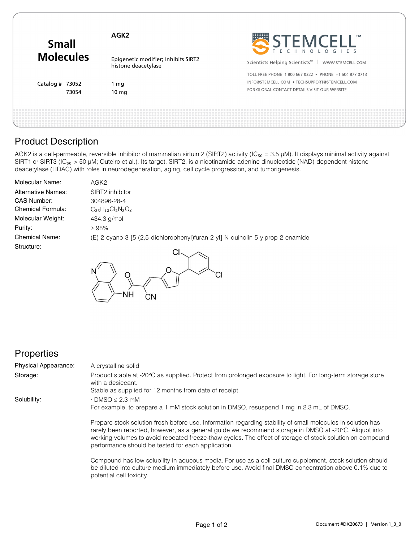| <b>Small</b><br><b>Molecules</b> | AGK <sub>2</sub>                                           | STEMCELL"                                                     |
|----------------------------------|------------------------------------------------------------|---------------------------------------------------------------|
|                                  | Epigenetic modifier; Inhibits SIRT2<br>histone deacetylase | Scientists Helping Scientists <sup>™</sup>   WWW.STEMCELL.COM |
| Catalog $#$ 73052<br>73054       |                                                            | TOLL FREE PHONE 1800 667 0322 . PHONE +1 604 877 0713         |
|                                  | l mg                                                       | INFO@STEMCELL.COM • TECHSUPPORT@STEMCELL.COM                  |
|                                  | 10 <sub>mg</sub>                                           | FOR GLOBAL CONTACT DETAILS VISIT OUR WEBSITE                  |
|                                  |                                                            |                                                               |
|                                  |                                                            |                                                               |

# Product Description

AGK2 is a cell-permeable, reversible inhibitor of mammalian sirtuin 2 (SIRT2) activity (IC<sub>50</sub> = 3.5 µM). It displays minimal activity against SIRT1 or SIRT3 (IC<sub>50</sub> > 50 µM; Outeiro et al.). Its target, SIRT2, is a nicotinamide adenine dinucleotide (NAD)-dependent histone deacetylase (HDAC) with roles in neurodegeneration, aging, cell cycle progression, and tumorigenesis.

| <b>Molecular Name:</b>    | AGK <sub>2</sub>                                                               |
|---------------------------|--------------------------------------------------------------------------------|
| <b>Alternative Names:</b> | SIRT2 inhibitor                                                                |
| CAS Number:               | 304896-28-4                                                                    |
| Chemical Formula:         | $C_{23}H_{13}Cl_2N_3O_2$                                                       |
| Molecular Weight:         | 434.3 g/mol                                                                    |
| Purity:                   | $\geq 98\%$                                                                    |
| <b>Chemical Name:</b>     | (E)-2-cyano-3-[5-(2,5-dichlorophenyl)furan-2-yl]-N-quinolin-5-ylprop-2-enamide |
| Structure:                |                                                                                |



### **Properties**

| <b>Physical Appearance:</b> | A crystalline solid                                                                                                                                                                                                                                                                                                                                                                     |
|-----------------------------|-----------------------------------------------------------------------------------------------------------------------------------------------------------------------------------------------------------------------------------------------------------------------------------------------------------------------------------------------------------------------------------------|
| Storage:                    | Product stable at -20°C as supplied. Protect from prolonged exposure to light. For long-term storage store<br>with a desiccant.                                                                                                                                                                                                                                                         |
|                             | Stable as supplied for 12 months from date of receipt.                                                                                                                                                                                                                                                                                                                                  |
| Solubility:                 | $\cdot$ DMSO $\leq$ 2.3 mM                                                                                                                                                                                                                                                                                                                                                              |
|                             | For example, to prepare a 1 mM stock solution in DMSO, resuspend 1 mg in 2.3 mL of DMSO.                                                                                                                                                                                                                                                                                                |
|                             | Prepare stock solution fresh before use. Information regarding stability of small molecules in solution has<br>rarely been reported, however, as a general guide we recommend storage in DMSO at -20°C. Aliquot into<br>working volumes to avoid repeated freeze-thaw cycles. The effect of storage of stock solution on compound<br>performance should be tested for each application. |
|                             | Compound has low solubility in aqueous media. For use as a cell culture supplement, stock solution should<br>be diluted into culture medium immediately before use. Avoid final DMSO concentration above 0.1% due to                                                                                                                                                                    |

potential cell toxicity.